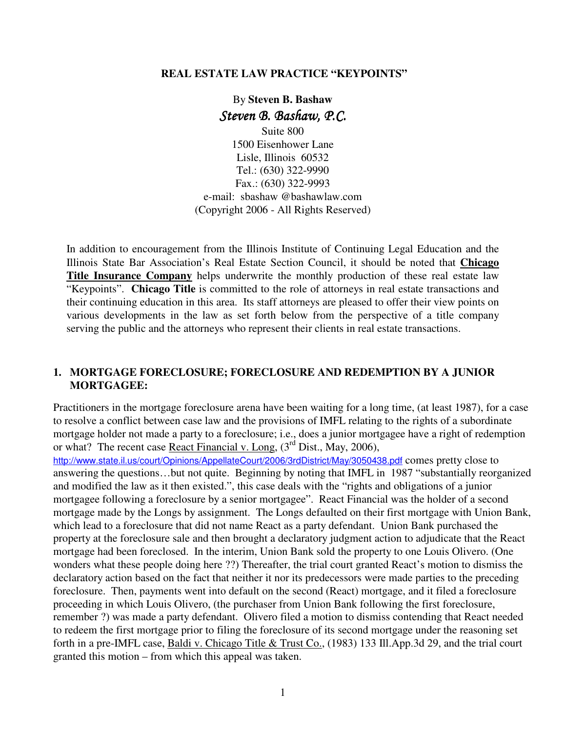#### **REAL ESTATE LAW PRACTICE "KEYPOINTS"**

# By **Steven B. Bashaw** Steven B. Bashaw, P.C.

Suite 800 1500 Eisenhower Lane Lisle, Illinois 60532 Tel.: (630) 322-9990 Fax.: (630) 322-9993 e-mail: sbashaw @bashawlaw.com (Copyright 2006 - All Rights Reserved)

In addition to encouragement from the Illinois Institute of Continuing Legal Education and the Illinois State Bar Association's Real Estate Section Council, it should be noted that **Chicago Title Insurance Company** helps underwrite the monthly production of these real estate law "Keypoints". **Chicago Title** is committed to the role of attorneys in real estate transactions and their continuing education in this area. Its staff attorneys are pleased to offer their view points on various developments in the law as set forth below from the perspective of a title company serving the public and the attorneys who represent their clients in real estate transactions.

#### **1. MORTGAGE FORECLOSURE; FORECLOSURE AND REDEMPTION BY A JUNIOR MORTGAGEE:**

Practitioners in the mortgage foreclosure arena have been waiting for a long time, (at least 1987), for a case to resolve a conflict between case law and the provisions of IMFL relating to the rights of a subordinate mortgage holder not made a party to a foreclosure; i.e., does a junior mortgagee have a right of redemption or what? The recent case React Financial v. Long,  $(3<sup>rd</sup> Dist., May, 2006)$ ,

http://www.state.il.us/court/Opinions/AppellateCourt/2006/3rdDistrict/May/3050438.pdf comes pretty close to answering the questions…but not quite. Beginning by noting that IMFL in 1987 "substantially reorganized and modified the law as it then existed.", this case deals with the "rights and obligations of a junior mortgagee following a foreclosure by a senior mortgagee". React Financial was the holder of a second mortgage made by the Longs by assignment. The Longs defaulted on their first mortgage with Union Bank, which lead to a foreclosure that did not name React as a party defendant. Union Bank purchased the property at the foreclosure sale and then brought a declaratory judgment action to adjudicate that the React mortgage had been foreclosed. In the interim, Union Bank sold the property to one Louis Olivero. (One wonders what these people doing here ??) Thereafter, the trial court granted React's motion to dismiss the declaratory action based on the fact that neither it nor its predecessors were made parties to the preceding foreclosure. Then, payments went into default on the second (React) mortgage, and it filed a foreclosure proceeding in which Louis Olivero, (the purchaser from Union Bank following the first foreclosure, remember ?) was made a party defendant. Olivero filed a motion to dismiss contending that React needed to redeem the first mortgage prior to filing the foreclosure of its second mortgage under the reasoning set forth in a pre-IMFL case, Baldi v. Chicago Title & Trust Co., (1983) 133 Ill.App.3d 29, and the trial court granted this motion – from which this appeal was taken.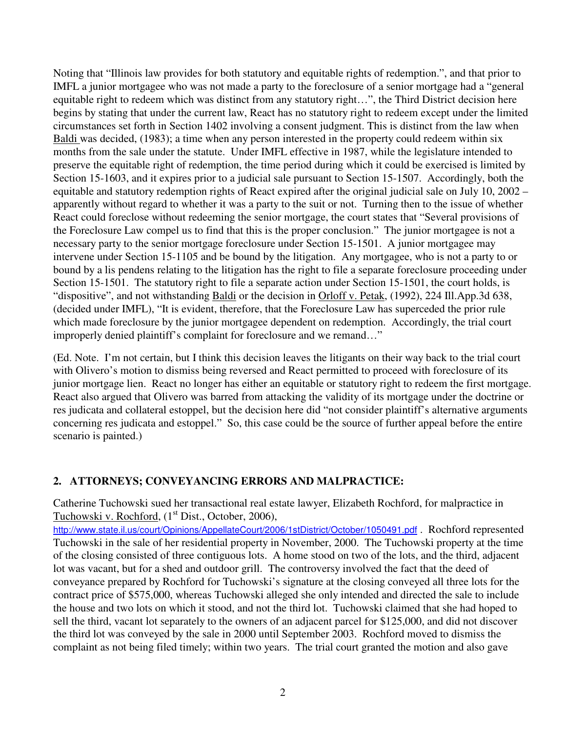Noting that "Illinois law provides for both statutory and equitable rights of redemption.", and that prior to IMFL a junior mortgagee who was not made a party to the foreclosure of a senior mortgage had a "general equitable right to redeem which was distinct from any statutory right…", the Third District decision here begins by stating that under the current law, React has no statutory right to redeem except under the limited circumstances set forth in Section 1402 involving a consent judgment. This is distinct from the law when Baldi was decided, (1983); a time when any person interested in the property could redeem within six months from the sale under the statute. Under IMFL effective in 1987, while the legislature intended to preserve the equitable right of redemption, the time period during which it could be exercised is limited by Section 15-1603, and it expires prior to a judicial sale pursuant to Section 15-1507. Accordingly, both the equitable and statutory redemption rights of React expired after the original judicial sale on July 10, 2002 – apparently without regard to whether it was a party to the suit or not. Turning then to the issue of whether React could foreclose without redeeming the senior mortgage, the court states that "Several provisions of the Foreclosure Law compel us to find that this is the proper conclusion." The junior mortgagee is not a necessary party to the senior mortgage foreclosure under Section 15-1501. A junior mortgagee may intervene under Section 15-1105 and be bound by the litigation. Any mortgagee, who is not a party to or bound by a lis pendens relating to the litigation has the right to file a separate foreclosure proceeding under Section 15-1501. The statutory right to file a separate action under Section 15-1501, the court holds, is "dispositive", and not withstanding Baldi or the decision in Orloff v. Petak, (1992), 224 Ill.App.3d 638, (decided under IMFL), "It is evident, therefore, that the Foreclosure Law has superceded the prior rule which made foreclosure by the junior mortgagee dependent on redemption. Accordingly, the trial court improperly denied plaintiff's complaint for foreclosure and we remand…"

(Ed. Note. I'm not certain, but I think this decision leaves the litigants on their way back to the trial court with Olivero's motion to dismiss being reversed and React permitted to proceed with foreclosure of its junior mortgage lien. React no longer has either an equitable or statutory right to redeem the first mortgage. React also argued that Olivero was barred from attacking the validity of its mortgage under the doctrine or res judicata and collateral estoppel, but the decision here did "not consider plaintiff's alternative arguments concerning res judicata and estoppel." So, this case could be the source of further appeal before the entire scenario is painted.)

## **2. ATTORNEYS; CONVEYANCING ERRORS AND MALPRACTICE:**

Catherine Tuchowski sued her transactional real estate lawyer, Elizabeth Rochford, for malpractice in Tuchowski v. Rochford, (1<sup>st</sup> Dist., October, 2006),

http://www.state.il.us/court/Opinions/AppellateCourt/2006/1stDistrict/October/1050491.pdf . Rochford represented Tuchowski in the sale of her residential property in November, 2000. The Tuchowski property at the time of the closing consisted of three contiguous lots. A home stood on two of the lots, and the third, adjacent lot was vacant, but for a shed and outdoor grill. The controversy involved the fact that the deed of conveyance prepared by Rochford for Tuchowski's signature at the closing conveyed all three lots for the contract price of \$575,000, whereas Tuchowski alleged she only intended and directed the sale to include the house and two lots on which it stood, and not the third lot. Tuchowski claimed that she had hoped to sell the third, vacant lot separately to the owners of an adjacent parcel for \$125,000, and did not discover the third lot was conveyed by the sale in 2000 until September 2003. Rochford moved to dismiss the complaint as not being filed timely; within two years. The trial court granted the motion and also gave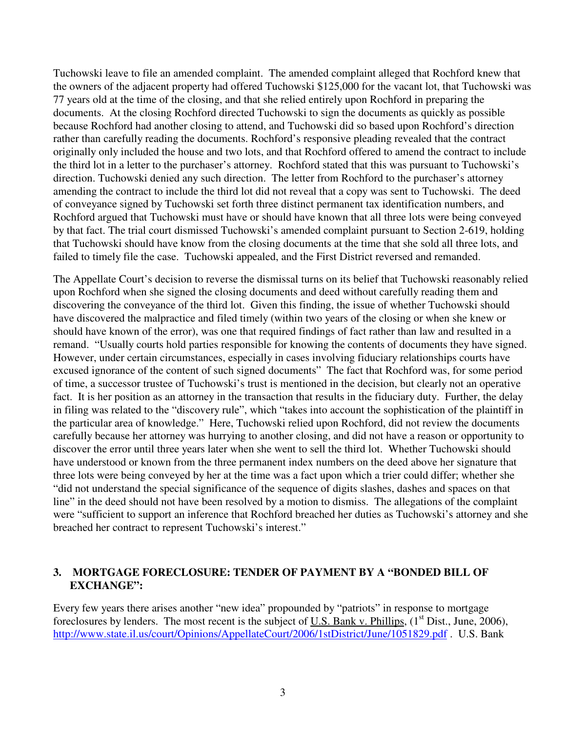Tuchowski leave to file an amended complaint. The amended complaint alleged that Rochford knew that the owners of the adjacent property had offered Tuchowski \$125,000 for the vacant lot, that Tuchowski was 77 years old at the time of the closing, and that she relied entirely upon Rochford in preparing the documents. At the closing Rochford directed Tuchowski to sign the documents as quickly as possible because Rochford had another closing to attend, and Tuchowski did so based upon Rochford's direction rather than carefully reading the documents. Rochford's responsive pleading revealed that the contract originally only included the house and two lots, and that Rochford offered to amend the contract to include the third lot in a letter to the purchaser's attorney. Rochford stated that this was pursuant to Tuchowski's direction. Tuchowski denied any such direction. The letter from Rochford to the purchaser's attorney amending the contract to include the third lot did not reveal that a copy was sent to Tuchowski. The deed of conveyance signed by Tuchowski set forth three distinct permanent tax identification numbers, and Rochford argued that Tuchowski must have or should have known that all three lots were being conveyed by that fact. The trial court dismissed Tuchowski's amended complaint pursuant to Section 2-619, holding that Tuchowski should have know from the closing documents at the time that she sold all three lots, and failed to timely file the case. Tuchowski appealed, and the First District reversed and remanded.

The Appellate Court's decision to reverse the dismissal turns on its belief that Tuchowski reasonably relied upon Rochford when she signed the closing documents and deed without carefully reading them and discovering the conveyance of the third lot. Given this finding, the issue of whether Tuchowski should have discovered the malpractice and filed timely (within two years of the closing or when she knew or should have known of the error), was one that required findings of fact rather than law and resulted in a remand. "Usually courts hold parties responsible for knowing the contents of documents they have signed. However, under certain circumstances, especially in cases involving fiduciary relationships courts have excused ignorance of the content of such signed documents" The fact that Rochford was, for some period of time, a successor trustee of Tuchowski's trust is mentioned in the decision, but clearly not an operative fact. It is her position as an attorney in the transaction that results in the fiduciary duty. Further, the delay in filing was related to the "discovery rule", which "takes into account the sophistication of the plaintiff in the particular area of knowledge." Here, Tuchowski relied upon Rochford, did not review the documents carefully because her attorney was hurrying to another closing, and did not have a reason or opportunity to discover the error until three years later when she went to sell the third lot. Whether Tuchowski should have understood or known from the three permanent index numbers on the deed above her signature that three lots were being conveyed by her at the time was a fact upon which a trier could differ; whether she "did not understand the special significance of the sequence of digits slashes, dashes and spaces on that line" in the deed should not have been resolved by a motion to dismiss. The allegations of the complaint were "sufficient to support an inference that Rochford breached her duties as Tuchowski's attorney and she breached her contract to represent Tuchowski's interest."

### **3. MORTGAGE FORECLOSURE: TENDER OF PAYMENT BY A "BONDED BILL OF EXCHANGE":**

Every few years there arises another "new idea" propounded by "patriots" in response to mortgage foreclosures by lenders. The most recent is the subject of U.S. Bank v. Phillips,  $(1<sup>st</sup> Dist., June, 2006)$ , http://www.state.il.us/court/Opinions/AppellateCourt/2006/1stDistrict/June/1051829.pdf . U.S. Bank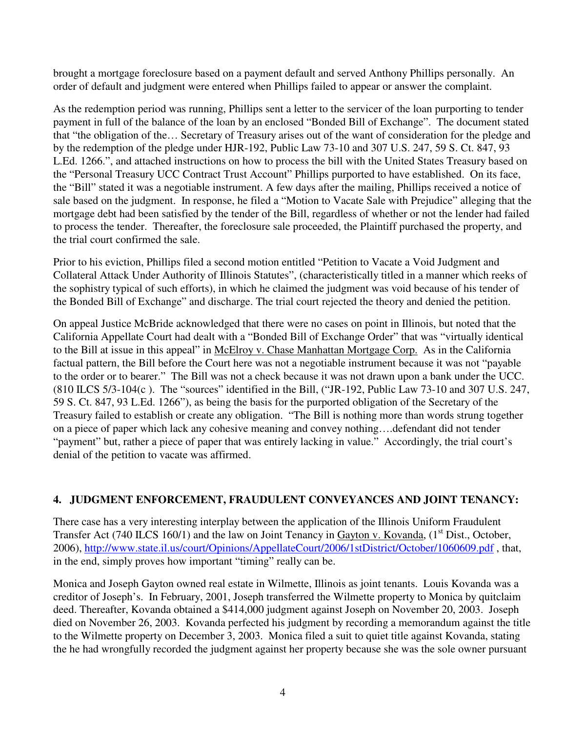brought a mortgage foreclosure based on a payment default and served Anthony Phillips personally. An order of default and judgment were entered when Phillips failed to appear or answer the complaint.

As the redemption period was running, Phillips sent a letter to the servicer of the loan purporting to tender payment in full of the balance of the loan by an enclosed "Bonded Bill of Exchange". The document stated that "the obligation of the… Secretary of Treasury arises out of the want of consideration for the pledge and by the redemption of the pledge under HJR-192, Public Law 73-10 and 307 U.S. 247, 59 S. Ct. 847, 93 L.Ed. 1266.", and attached instructions on how to process the bill with the United States Treasury based on the "Personal Treasury UCC Contract Trust Account" Phillips purported to have established. On its face, the "Bill" stated it was a negotiable instrument. A few days after the mailing, Phillips received a notice of sale based on the judgment. In response, he filed a "Motion to Vacate Sale with Prejudice" alleging that the mortgage debt had been satisfied by the tender of the Bill, regardless of whether or not the lender had failed to process the tender. Thereafter, the foreclosure sale proceeded, the Plaintiff purchased the property, and the trial court confirmed the sale.

Prior to his eviction, Phillips filed a second motion entitled "Petition to Vacate a Void Judgment and Collateral Attack Under Authority of Illinois Statutes", (characteristically titled in a manner which reeks of the sophistry typical of such efforts), in which he claimed the judgment was void because of his tender of the Bonded Bill of Exchange" and discharge. The trial court rejected the theory and denied the petition.

On appeal Justice McBride acknowledged that there were no cases on point in Illinois, but noted that the California Appellate Court had dealt with a "Bonded Bill of Exchange Order" that was "virtually identical to the Bill at issue in this appeal" in McElroy v. Chase Manhattan Mortgage Corp. As in the California factual pattern, the Bill before the Court here was not a negotiable instrument because it was not "payable to the order or to bearer." The Bill was not a check because it was not drawn upon a bank under the UCC. (810 ILCS 5/3-104(c ). The "sources" identified in the Bill, ("JR-192, Public Law 73-10 and 307 U.S. 247, 59 S. Ct. 847, 93 L.Ed. 1266"), as being the basis for the purported obligation of the Secretary of the Treasury failed to establish or create any obligation. "The Bill is nothing more than words strung together on a piece of paper which lack any cohesive meaning and convey nothing….defendant did not tender "payment" but, rather a piece of paper that was entirely lacking in value." Accordingly, the trial court's denial of the petition to vacate was affirmed.

### **4. JUDGMENT ENFORCEMENT, FRAUDULENT CONVEYANCES AND JOINT TENANCY:**

There case has a very interesting interplay between the application of the Illinois Uniform Fraudulent Transfer Act (740 ILCS 160/1) and the law on Joint Tenancy in Gayton v. Kovanda, (1<sup>st</sup> Dist., October, 2006), http://www.state.il.us/court/Opinions/AppellateCourt/2006/1stDistrict/October/1060609.pdf , that, in the end, simply proves how important "timing" really can be.

Monica and Joseph Gayton owned real estate in Wilmette, Illinois as joint tenants. Louis Kovanda was a creditor of Joseph's. In February, 2001, Joseph transferred the Wilmette property to Monica by quitclaim deed. Thereafter, Kovanda obtained a \$414,000 judgment against Joseph on November 20, 2003. Joseph died on November 26, 2003. Kovanda perfected his judgment by recording a memorandum against the title to the Wilmette property on December 3, 2003. Monica filed a suit to quiet title against Kovanda, stating the he had wrongfully recorded the judgment against her property because she was the sole owner pursuant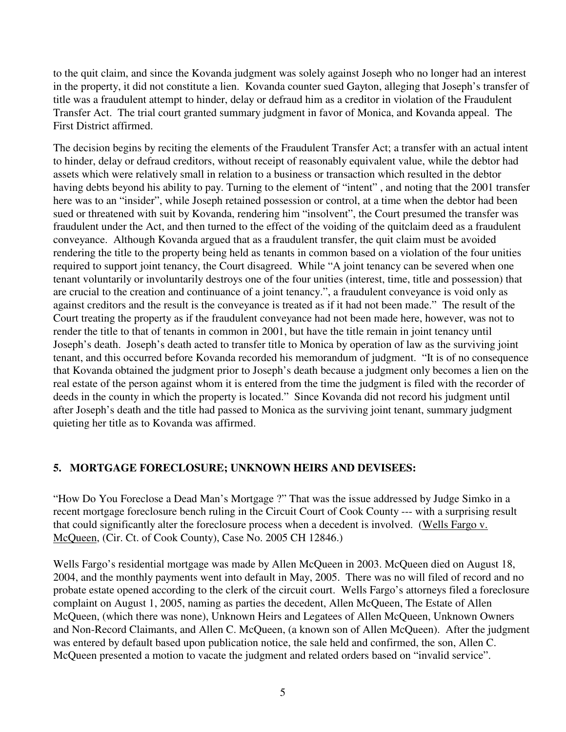to the quit claim, and since the Kovanda judgment was solely against Joseph who no longer had an interest in the property, it did not constitute a lien. Kovanda counter sued Gayton, alleging that Joseph's transfer of title was a fraudulent attempt to hinder, delay or defraud him as a creditor in violation of the Fraudulent Transfer Act. The trial court granted summary judgment in favor of Monica, and Kovanda appeal. The First District affirmed.

The decision begins by reciting the elements of the Fraudulent Transfer Act; a transfer with an actual intent to hinder, delay or defraud creditors, without receipt of reasonably equivalent value, while the debtor had assets which were relatively small in relation to a business or transaction which resulted in the debtor having debts beyond his ability to pay. Turning to the element of "intent" , and noting that the 2001 transfer here was to an "insider", while Joseph retained possession or control, at a time when the debtor had been sued or threatened with suit by Kovanda, rendering him "insolvent", the Court presumed the transfer was fraudulent under the Act, and then turned to the effect of the voiding of the quitclaim deed as a fraudulent conveyance. Although Kovanda argued that as a fraudulent transfer, the quit claim must be avoided rendering the title to the property being held as tenants in common based on a violation of the four unities required to support joint tenancy, the Court disagreed. While "A joint tenancy can be severed when one tenant voluntarily or involuntarily destroys one of the four unities (interest, time, title and possession) that are crucial to the creation and continuance of a joint tenancy.", a fraudulent conveyance is void only as against creditors and the result is the conveyance is treated as if it had not been made." The result of the Court treating the property as if the fraudulent conveyance had not been made here, however, was not to render the title to that of tenants in common in 2001, but have the title remain in joint tenancy until Joseph's death. Joseph's death acted to transfer title to Monica by operation of law as the surviving joint tenant, and this occurred before Kovanda recorded his memorandum of judgment. "It is of no consequence that Kovanda obtained the judgment prior to Joseph's death because a judgment only becomes a lien on the real estate of the person against whom it is entered from the time the judgment is filed with the recorder of deeds in the county in which the property is located." Since Kovanda did not record his judgment until after Joseph's death and the title had passed to Monica as the surviving joint tenant, summary judgment quieting her title as to Kovanda was affirmed.

### **5. MORTGAGE FORECLOSURE; UNKNOWN HEIRS AND DEVISEES:**

"How Do You Foreclose a Dead Man's Mortgage ?" That was the issue addressed by Judge Simko in a recent mortgage foreclosure bench ruling in the Circuit Court of Cook County --- with a surprising result that could significantly alter the foreclosure process when a decedent is involved. (Wells Fargo v. McQueen, (Cir. Ct. of Cook County), Case No. 2005 CH 12846.)

Wells Fargo's residential mortgage was made by Allen McQueen in 2003. McQueen died on August 18, 2004, and the monthly payments went into default in May, 2005. There was no will filed of record and no probate estate opened according to the clerk of the circuit court. Wells Fargo's attorneys filed a foreclosure complaint on August 1, 2005, naming as parties the decedent, Allen McQueen, The Estate of Allen McQueen, (which there was none), Unknown Heirs and Legatees of Allen McQueen, Unknown Owners and Non-Record Claimants, and Allen C. McQueen, (a known son of Allen McQueen). After the judgment was entered by default based upon publication notice, the sale held and confirmed, the son, Allen C. McQueen presented a motion to vacate the judgment and related orders based on "invalid service".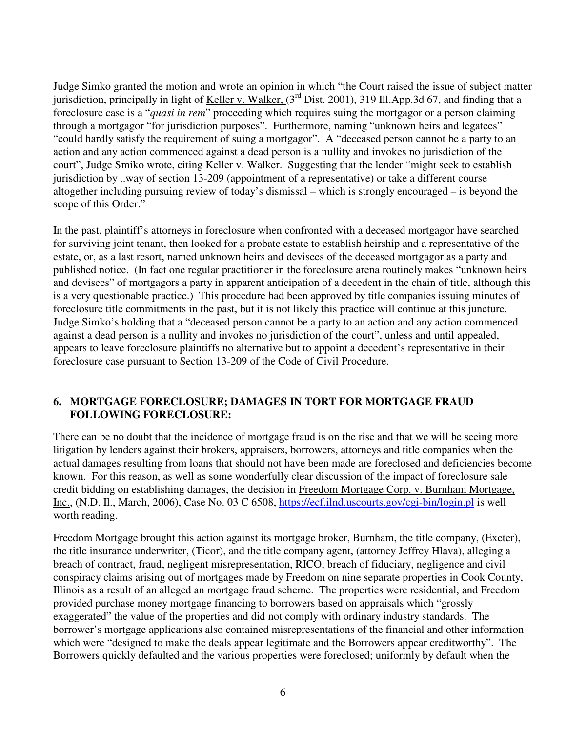Judge Simko granted the motion and wrote an opinion in which "the Court raised the issue of subject matter jurisdiction, principally in light of Keller v. Walker, (3<sup>rd</sup> Dist. 2001), 319 Ill.App.3d 67, and finding that a foreclosure case is a "*quasi in rem*" proceeding which requires suing the mortgagor or a person claiming through a mortgagor "for jurisdiction purposes". Furthermore, naming "unknown heirs and legatees" "could hardly satisfy the requirement of suing a mortgagor". A "deceased person cannot be a party to an action and any action commenced against a dead person is a nullity and invokes no jurisdiction of the court", Judge Smiko wrote, citing Keller v. Walker. Suggesting that the lender "might seek to establish jurisdiction by ..way of section 13-209 (appointment of a representative) or take a different course altogether including pursuing review of today's dismissal – which is strongly encouraged – is beyond the scope of this Order."

In the past, plaintiff's attorneys in foreclosure when confronted with a deceased mortgagor have searched for surviving joint tenant, then looked for a probate estate to establish heirship and a representative of the estate, or, as a last resort, named unknown heirs and devisees of the deceased mortgagor as a party and published notice. (In fact one regular practitioner in the foreclosure arena routinely makes "unknown heirs and devisees" of mortgagors a party in apparent anticipation of a decedent in the chain of title, although this is a very questionable practice.) This procedure had been approved by title companies issuing minutes of foreclosure title commitments in the past, but it is not likely this practice will continue at this juncture. Judge Simko's holding that a "deceased person cannot be a party to an action and any action commenced against a dead person is a nullity and invokes no jurisdiction of the court", unless and until appealed, appears to leave foreclosure plaintiffs no alternative but to appoint a decedent's representative in their foreclosure case pursuant to Section 13-209 of the Code of Civil Procedure.

### **6. MORTGAGE FORECLOSURE; DAMAGES IN TORT FOR MORTGAGE FRAUD FOLLOWING FORECLOSURE:**

There can be no doubt that the incidence of mortgage fraud is on the rise and that we will be seeing more litigation by lenders against their brokers, appraisers, borrowers, attorneys and title companies when the actual damages resulting from loans that should not have been made are foreclosed and deficiencies become known. For this reason, as well as some wonderfully clear discussion of the impact of foreclosure sale credit bidding on establishing damages, the decision in Freedom Mortgage Corp. v. Burnham Mortgage, Inc., (N.D. Il., March, 2006), Case No. 03 C 6508, https://ecf.ilnd.uscourts.gov/cgi-bin/login.pl is well worth reading.

Freedom Mortgage brought this action against its mortgage broker, Burnham, the title company, (Exeter), the title insurance underwriter, (Ticor), and the title company agent, (attorney Jeffrey Hlava), alleging a breach of contract, fraud, negligent misrepresentation, RICO, breach of fiduciary, negligence and civil conspiracy claims arising out of mortgages made by Freedom on nine separate properties in Cook County, Illinois as a result of an alleged an mortgage fraud scheme. The properties were residential, and Freedom provided purchase money mortgage financing to borrowers based on appraisals which "grossly exaggerated" the value of the properties and did not comply with ordinary industry standards. The borrower's mortgage applications also contained misrepresentations of the financial and other information which were "designed to make the deals appear legitimate and the Borrowers appear creditworthy". The Borrowers quickly defaulted and the various properties were foreclosed; uniformly by default when the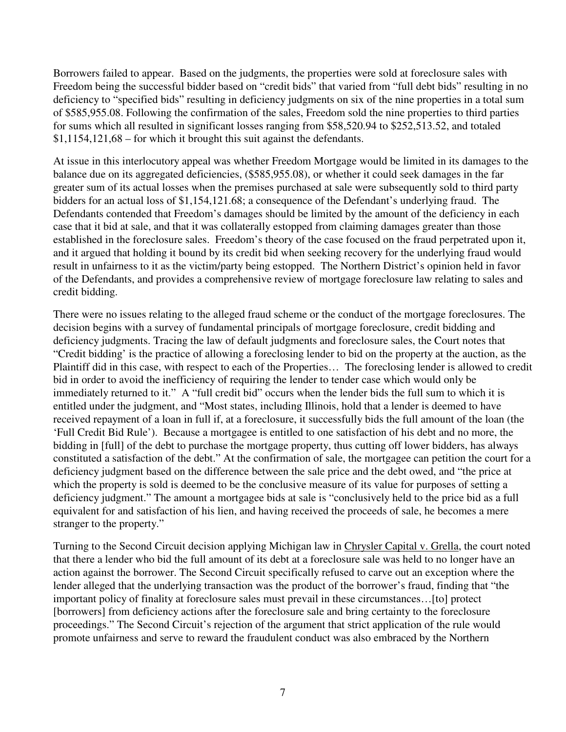Borrowers failed to appear. Based on the judgments, the properties were sold at foreclosure sales with Freedom being the successful bidder based on "credit bids" that varied from "full debt bids" resulting in no deficiency to "specified bids" resulting in deficiency judgments on six of the nine properties in a total sum of \$585,955.08. Following the confirmation of the sales, Freedom sold the nine properties to third parties for sums which all resulted in significant losses ranging from \$58,520.94 to \$252,513.52, and totaled \$1,1154,121,68 – for which it brought this suit against the defendants.

At issue in this interlocutory appeal was whether Freedom Mortgage would be limited in its damages to the balance due on its aggregated deficiencies, (\$585,955.08), or whether it could seek damages in the far greater sum of its actual losses when the premises purchased at sale were subsequently sold to third party bidders for an actual loss of \$1,154,121.68; a consequence of the Defendant's underlying fraud. The Defendants contended that Freedom's damages should be limited by the amount of the deficiency in each case that it bid at sale, and that it was collaterally estopped from claiming damages greater than those established in the foreclosure sales. Freedom's theory of the case focused on the fraud perpetrated upon it, and it argued that holding it bound by its credit bid when seeking recovery for the underlying fraud would result in unfairness to it as the victim/party being estopped. The Northern District's opinion held in favor of the Defendants, and provides a comprehensive review of mortgage foreclosure law relating to sales and credit bidding.

There were no issues relating to the alleged fraud scheme or the conduct of the mortgage foreclosures. The decision begins with a survey of fundamental principals of mortgage foreclosure, credit bidding and deficiency judgments. Tracing the law of default judgments and foreclosure sales, the Court notes that "Credit bidding' is the practice of allowing a foreclosing lender to bid on the property at the auction, as the Plaintiff did in this case, with respect to each of the Properties… The foreclosing lender is allowed to credit bid in order to avoid the inefficiency of requiring the lender to tender case which would only be immediately returned to it." A "full credit bid" occurs when the lender bids the full sum to which it is entitled under the judgment, and "Most states, including Illinois, hold that a lender is deemed to have received repayment of a loan in full if, at a foreclosure, it successfully bids the full amount of the loan (the 'Full Credit Bid Rule'). Because a mortgagee is entitled to one satisfaction of his debt and no more, the bidding in [full] of the debt to purchase the mortgage property, thus cutting off lower bidders, has always constituted a satisfaction of the debt." At the confirmation of sale, the mortgagee can petition the court for a deficiency judgment based on the difference between the sale price and the debt owed, and "the price at which the property is sold is deemed to be the conclusive measure of its value for purposes of setting a deficiency judgment." The amount a mortgagee bids at sale is "conclusively held to the price bid as a full equivalent for and satisfaction of his lien, and having received the proceeds of sale, he becomes a mere stranger to the property."

Turning to the Second Circuit decision applying Michigan law in Chrysler Capital v. Grella, the court noted that there a lender who bid the full amount of its debt at a foreclosure sale was held to no longer have an action against the borrower. The Second Circuit specifically refused to carve out an exception where the lender alleged that the underlying transaction was the product of the borrower's fraud, finding that "the important policy of finality at foreclosure sales must prevail in these circumstances…[to] protect [borrowers] from deficiency actions after the foreclosure sale and bring certainty to the foreclosure proceedings." The Second Circuit's rejection of the argument that strict application of the rule would promote unfairness and serve to reward the fraudulent conduct was also embraced by the Northern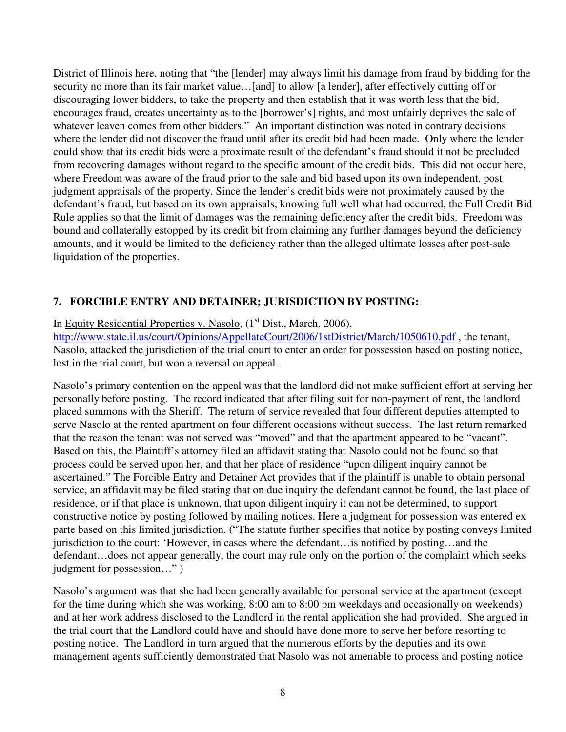District of Illinois here, noting that "the [lender] may always limit his damage from fraud by bidding for the security no more than its fair market value...[and] to allow [a lender], after effectively cutting off or discouraging lower bidders, to take the property and then establish that it was worth less that the bid, encourages fraud, creates uncertainty as to the [borrower's] rights, and most unfairly deprives the sale of whatever leaven comes from other bidders." An important distinction was noted in contrary decisions where the lender did not discover the fraud until after its credit bid had been made. Only where the lender could show that its credit bids were a proximate result of the defendant's fraud should it not be precluded from recovering damages without regard to the specific amount of the credit bids. This did not occur here, where Freedom was aware of the fraud prior to the sale and bid based upon its own independent, post judgment appraisals of the property. Since the lender's credit bids were not proximately caused by the defendant's fraud, but based on its own appraisals, knowing full well what had occurred, the Full Credit Bid Rule applies so that the limit of damages was the remaining deficiency after the credit bids. Freedom was bound and collaterally estopped by its credit bit from claiming any further damages beyond the deficiency amounts, and it would be limited to the deficiency rather than the alleged ultimate losses after post-sale liquidation of the properties.

## **7. FORCIBLE ENTRY AND DETAINER; JURISDICTION BY POSTING:**

#### In Equity Residential Properties v. Nasolo,  $(1<sup>st</sup> Dist., March, 2006)$ ,

http://www.state.il.us/court/Opinions/AppellateCourt/2006/1stDistrict/March/1050610.pdf, the tenant, Nasolo, attacked the jurisdiction of the trial court to enter an order for possession based on posting notice, lost in the trial court, but won a reversal on appeal.

Nasolo's primary contention on the appeal was that the landlord did not make sufficient effort at serving her personally before posting. The record indicated that after filing suit for non-payment of rent, the landlord placed summons with the Sheriff. The return of service revealed that four different deputies attempted to serve Nasolo at the rented apartment on four different occasions without success. The last return remarked that the reason the tenant was not served was "moved" and that the apartment appeared to be "vacant". Based on this, the Plaintiff's attorney filed an affidavit stating that Nasolo could not be found so that process could be served upon her, and that her place of residence "upon diligent inquiry cannot be ascertained." The Forcible Entry and Detainer Act provides that if the plaintiff is unable to obtain personal service, an affidavit may be filed stating that on due inquiry the defendant cannot be found, the last place of residence, or if that place is unknown, that upon diligent inquiry it can not be determined, to support constructive notice by posting followed by mailing notices. Here a judgment for possession was entered ex parte based on this limited jurisdiction. ("The statute further specifies that notice by posting conveys limited jurisdiction to the court: 'However, in cases where the defendant…is notified by posting…and the defendant…does not appear generally, the court may rule only on the portion of the complaint which seeks judgment for possession…" )

Nasolo's argument was that she had been generally available for personal service at the apartment (except for the time during which she was working, 8:00 am to 8:00 pm weekdays and occasionally on weekends) and at her work address disclosed to the Landlord in the rental application she had provided. She argued in the trial court that the Landlord could have and should have done more to serve her before resorting to posting notice. The Landlord in turn argued that the numerous efforts by the deputies and its own management agents sufficiently demonstrated that Nasolo was not amenable to process and posting notice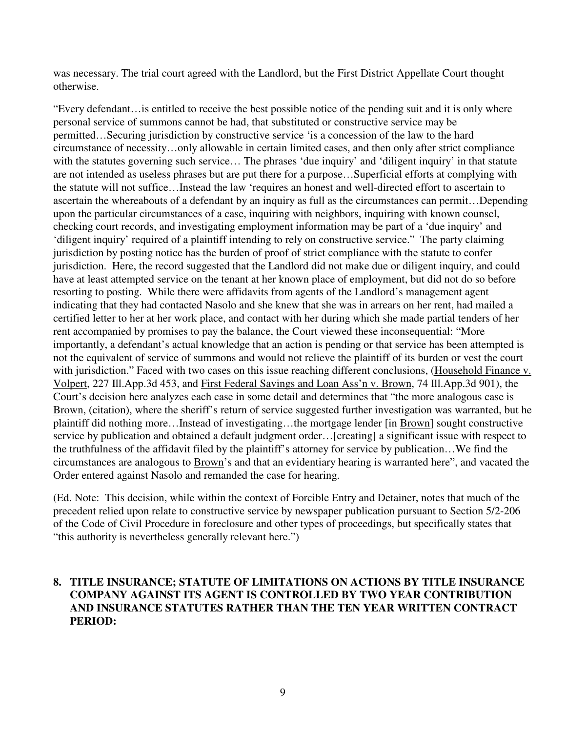was necessary. The trial court agreed with the Landlord, but the First District Appellate Court thought otherwise.

"Every defendant…is entitled to receive the best possible notice of the pending suit and it is only where personal service of summons cannot be had, that substituted or constructive service may be permitted…Securing jurisdiction by constructive service 'is a concession of the law to the hard circumstance of necessity…only allowable in certain limited cases, and then only after strict compliance with the statutes governing such service... The phrases 'due inquiry' and 'diligent inquiry' in that statute are not intended as useless phrases but are put there for a purpose…Superficial efforts at complying with the statute will not suffice…Instead the law 'requires an honest and well-directed effort to ascertain to ascertain the whereabouts of a defendant by an inquiry as full as the circumstances can permit…Depending upon the particular circumstances of a case, inquiring with neighbors, inquiring with known counsel, checking court records, and investigating employment information may be part of a 'due inquiry' and 'diligent inquiry' required of a plaintiff intending to rely on constructive service." The party claiming jurisdiction by posting notice has the burden of proof of strict compliance with the statute to confer jurisdiction. Here, the record suggested that the Landlord did not make due or diligent inquiry, and could have at least attempted service on the tenant at her known place of employment, but did not do so before resorting to posting. While there were affidavits from agents of the Landlord's management agent indicating that they had contacted Nasolo and she knew that she was in arrears on her rent, had mailed a certified letter to her at her work place, and contact with her during which she made partial tenders of her rent accompanied by promises to pay the balance, the Court viewed these inconsequential: "More importantly, a defendant's actual knowledge that an action is pending or that service has been attempted is not the equivalent of service of summons and would not relieve the plaintiff of its burden or vest the court with jurisdiction." Faced with two cases on this issue reaching different conclusions, (Household Finance v. Volpert, 227 Ill.App.3d 453, and First Federal Savings and Loan Ass'n v. Brown, 74 Ill.App.3d 901), the Court's decision here analyzes each case in some detail and determines that "the more analogous case is Brown, (citation), where the sheriff's return of service suggested further investigation was warranted, but he plaintiff did nothing more…Instead of investigating…the mortgage lender [in Brown] sought constructive service by publication and obtained a default judgment order…[creating] a significant issue with respect to the truthfulness of the affidavit filed by the plaintiff's attorney for service by publication…We find the circumstances are analogous to Brown's and that an evidentiary hearing is warranted here", and vacated the Order entered against Nasolo and remanded the case for hearing.

(Ed. Note: This decision, while within the context of Forcible Entry and Detainer, notes that much of the precedent relied upon relate to constructive service by newspaper publication pursuant to Section 5/2-206 of the Code of Civil Procedure in foreclosure and other types of proceedings, but specifically states that "this authority is nevertheless generally relevant here.")

### **8. TITLE INSURANCE; STATUTE OF LIMITATIONS ON ACTIONS BY TITLE INSURANCE COMPANY AGAINST ITS AGENT IS CONTROLLED BY TWO YEAR CONTRIBUTION AND INSURANCE STATUTES RATHER THAN THE TEN YEAR WRITTEN CONTRACT PERIOD:**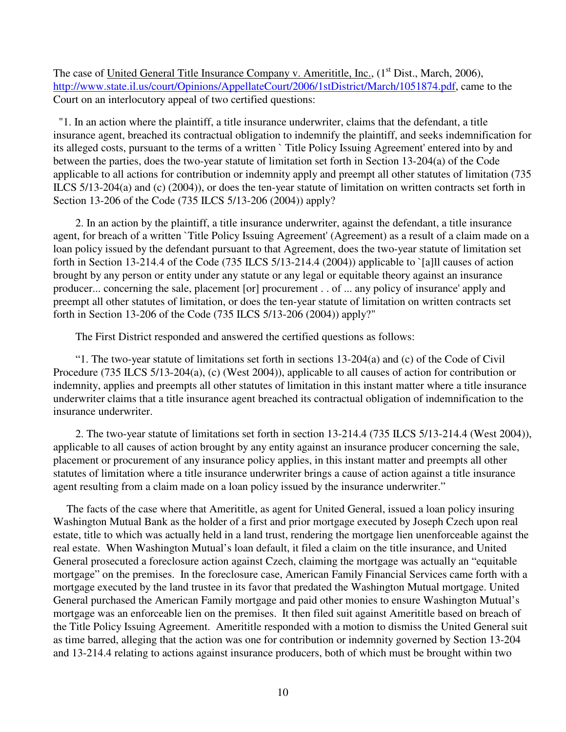The case of United General Title Insurance Company v. Amerititle, Inc.,  $(1<sup>st</sup> Dist., March, 2006)$ , http://www.state.il.us/court/Opinions/AppellateCourt/2006/1stDistrict/March/1051874.pdf, came to the Court on an interlocutory appeal of two certified questions:

 "1. In an action where the plaintiff, a title insurance underwriter, claims that the defendant, a title insurance agent, breached its contractual obligation to indemnify the plaintiff, and seeks indemnification for its alleged costs, pursuant to the terms of a written ` Title Policy Issuing Agreement' entered into by and between the parties, does the two-year statute of limitation set forth in Section 13-204(a) of the Code applicable to all actions for contribution or indemnity apply and preempt all other statutes of limitation (735 ILCS 5/13-204(a) and (c) (2004)), or does the ten-year statute of limitation on written contracts set forth in Section 13-206 of the Code (735 ILCS 5/13-206 (2004)) apply?

 2. In an action by the plaintiff, a title insurance underwriter, against the defendant, a title insurance agent, for breach of a written `Title Policy Issuing Agreement' (Agreement) as a result of a claim made on a loan policy issued by the defendant pursuant to that Agreement, does the two-year statute of limitation set forth in Section 13-214.4 of the Code (735 ILCS 5/13-214.4 (2004)) applicable to `[a]ll causes of action brought by any person or entity under any statute or any legal or equitable theory against an insurance producer... concerning the sale, placement [or] procurement . . of ... any policy of insurance' apply and preempt all other statutes of limitation, or does the ten-year statute of limitation on written contracts set forth in Section 13-206 of the Code (735 ILCS 5/13-206 (2004)) apply?"

The First District responded and answered the certified questions as follows:

 "1. The two-year statute of limitations set forth in sections 13-204(a) and (c) of the Code of Civil Procedure (735 ILCS 5/13-204(a), (c) (West 2004)), applicable to all causes of action for contribution or indemnity, applies and preempts all other statutes of limitation in this instant matter where a title insurance underwriter claims that a title insurance agent breached its contractual obligation of indemnification to the insurance underwriter.

 2. The two-year statute of limitations set forth in section 13-214.4 (735 ILCS 5/13-214.4 (West 2004)), applicable to all causes of action brought by any entity against an insurance producer concerning the sale, placement or procurement of any insurance policy applies, in this instant matter and preempts all other statutes of limitation where a title insurance underwriter brings a cause of action against a title insurance agent resulting from a claim made on a loan policy issued by the insurance underwriter."

 The facts of the case where that Amerititle, as agent for United General, issued a loan policy insuring Washington Mutual Bank as the holder of a first and prior mortgage executed by Joseph Czech upon real estate, title to which was actually held in a land trust, rendering the mortgage lien unenforceable against the real estate. When Washington Mutual's loan default, it filed a claim on the title insurance, and United General prosecuted a foreclosure action against Czech, claiming the mortgage was actually an "equitable mortgage" on the premises. In the foreclosure case, American Family Financial Services came forth with a mortgage executed by the land trustee in its favor that predated the Washington Mutual mortgage. United General purchased the American Family mortgage and paid other monies to ensure Washington Mutual's mortgage was an enforceable lien on the premises. It then filed suit against Amerititle based on breach of the Title Policy Issuing Agreement. Amerititle responded with a motion to dismiss the United General suit as time barred, alleging that the action was one for contribution or indemnity governed by Section 13-204 and 13-214.4 relating to actions against insurance producers, both of which must be brought within two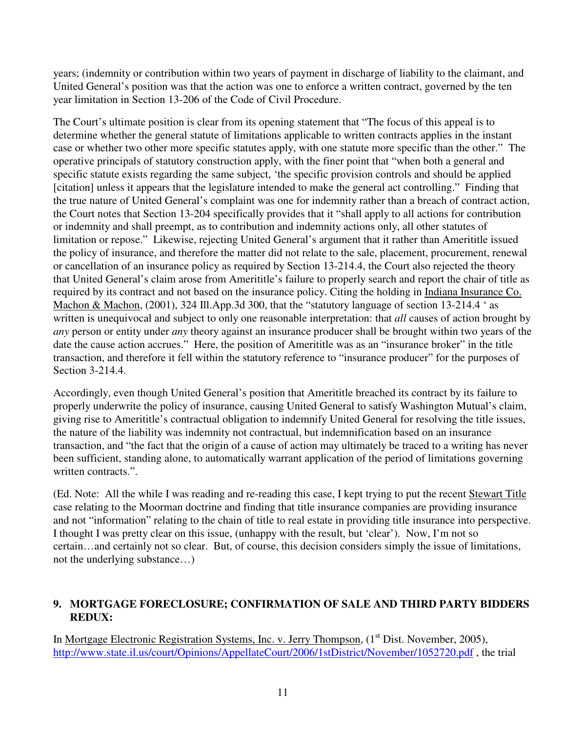years; (indemnity or contribution within two years of payment in discharge of liability to the claimant, and United General's position was that the action was one to enforce a written contract, governed by the ten year limitation in Section 13-206 of the Code of Civil Procedure.

The Court's ultimate position is clear from its opening statement that "The focus of this appeal is to determine whether the general statute of limitations applicable to written contracts applies in the instant case or whether two other more specific statutes apply, with one statute more specific than the other." The operative principals of statutory construction apply, with the finer point that "when both a general and specific statute exists regarding the same subject, 'the specific provision controls and should be applied [citation] unless it appears that the legislature intended to make the general act controlling." Finding that the true nature of United General's complaint was one for indemnity rather than a breach of contract action, the Court notes that Section 13-204 specifically provides that it "shall apply to all actions for contribution or indemnity and shall preempt, as to contribution and indemnity actions only, all other statutes of limitation or repose." Likewise, rejecting United General's argument that it rather than Amerititle issued the policy of insurance, and therefore the matter did not relate to the sale, placement, procurement, renewal or cancellation of an insurance policy as required by Section 13-214.4, the Court also rejected the theory that United General's claim arose from Amerititle's failure to properly search and report the chair of title as required by its contract and not based on the insurance policy. Citing the holding in Indiana Insurance Co. Machon & Machon, (2001), 324 Ill.App.3d 300, that the "statutory language of section 13-214.4 ' as written is unequivocal and subject to only one reasonable interpretation: that *all* causes of action brought by *any* person or entity under *any* theory against an insurance producer shall be brought within two years of the date the cause action accrues." Here, the position of Amerititle was as an "insurance broker" in the title transaction, and therefore it fell within the statutory reference to "insurance producer" for the purposes of Section 3-214.4.

Accordingly, even though United General's position that Amerititle breached its contract by its failure to properly underwrite the policy of insurance, causing United General to satisfy Washington Mutual's claim, giving rise to Amerititle's contractual obligation to indemnify United General for resolving the title issues, the nature of the liability was indemnity not contractual, but indemnification based on an insurance transaction, and "the fact that the origin of a cause of action may ultimately be traced to a writing has never been sufficient, standing alone, to automatically warrant application of the period of limitations governing written contracts.".

(Ed. Note: All the while I was reading and re-reading this case, I kept trying to put the recent Stewart Title case relating to the Moorman doctrine and finding that title insurance companies are providing insurance and not "information" relating to the chain of title to real estate in providing title insurance into perspective. I thought I was pretty clear on this issue, (unhappy with the result, but 'clear'). Now, I'm not so certain…and certainly not so clear. But, of course, this decision considers simply the issue of limitations, not the underlying substance…)

### **9. MORTGAGE FORECLOSURE; CONFIRMATION OF SALE AND THIRD PARTY BIDDERS REDUX:**

In Mortgage Electronic Registration Systems, Inc. v. Jerry Thompson, (1<sup>st</sup> Dist. November, 2005), http://www.state.il.us/court/Opinions/AppellateCourt/2006/1stDistrict/November/1052720.pdf , the trial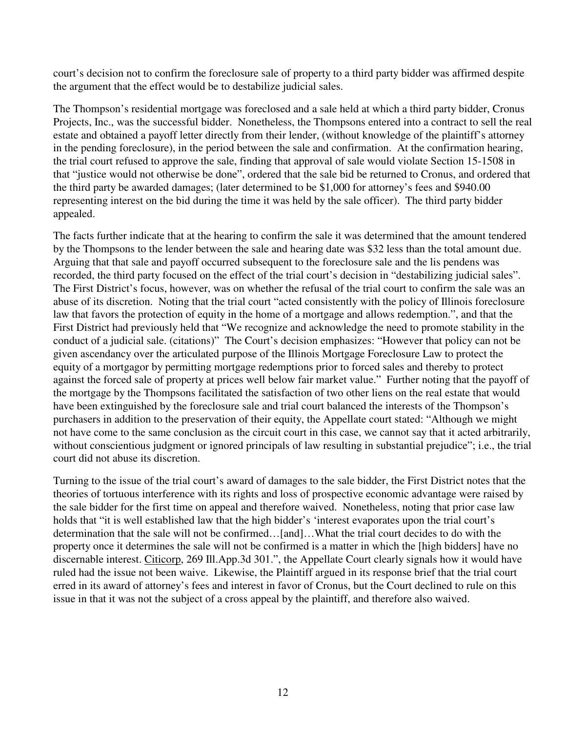court's decision not to confirm the foreclosure sale of property to a third party bidder was affirmed despite the argument that the effect would be to destabilize judicial sales.

The Thompson's residential mortgage was foreclosed and a sale held at which a third party bidder, Cronus Projects, Inc., was the successful bidder. Nonetheless, the Thompsons entered into a contract to sell the real estate and obtained a payoff letter directly from their lender, (without knowledge of the plaintiff's attorney in the pending foreclosure), in the period between the sale and confirmation. At the confirmation hearing, the trial court refused to approve the sale, finding that approval of sale would violate Section 15-1508 in that "justice would not otherwise be done", ordered that the sale bid be returned to Cronus, and ordered that the third party be awarded damages; (later determined to be \$1,000 for attorney's fees and \$940.00 representing interest on the bid during the time it was held by the sale officer). The third party bidder appealed.

The facts further indicate that at the hearing to confirm the sale it was determined that the amount tendered by the Thompsons to the lender between the sale and hearing date was \$32 less than the total amount due. Arguing that that sale and payoff occurred subsequent to the foreclosure sale and the lis pendens was recorded, the third party focused on the effect of the trial court's decision in "destabilizing judicial sales". The First District's focus, however, was on whether the refusal of the trial court to confirm the sale was an abuse of its discretion. Noting that the trial court "acted consistently with the policy of Illinois foreclosure law that favors the protection of equity in the home of a mortgage and allows redemption.", and that the First District had previously held that "We recognize and acknowledge the need to promote stability in the conduct of a judicial sale. (citations)" The Court's decision emphasizes: "However that policy can not be given ascendancy over the articulated purpose of the Illinois Mortgage Foreclosure Law to protect the equity of a mortgagor by permitting mortgage redemptions prior to forced sales and thereby to protect against the forced sale of property at prices well below fair market value." Further noting that the payoff of the mortgage by the Thompsons facilitated the satisfaction of two other liens on the real estate that would have been extinguished by the foreclosure sale and trial court balanced the interests of the Thompson's purchasers in addition to the preservation of their equity, the Appellate court stated: "Although we might not have come to the same conclusion as the circuit court in this case, we cannot say that it acted arbitrarily, without conscientious judgment or ignored principals of law resulting in substantial prejudice"; i.e., the trial court did not abuse its discretion.

Turning to the issue of the trial court's award of damages to the sale bidder, the First District notes that the theories of tortuous interference with its rights and loss of prospective economic advantage were raised by the sale bidder for the first time on appeal and therefore waived. Nonetheless, noting that prior case law holds that "it is well established law that the high bidder's 'interest evaporates upon the trial court's determination that the sale will not be confirmed…[and]…What the trial court decides to do with the property once it determines the sale will not be confirmed is a matter in which the [high bidders] have no discernable interest. Citicorp, 269 Ill.App.3d 301.", the Appellate Court clearly signals how it would have ruled had the issue not been waive. Likewise, the Plaintiff argued in its response brief that the trial court erred in its award of attorney's fees and interest in favor of Cronus, but the Court declined to rule on this issue in that it was not the subject of a cross appeal by the plaintiff, and therefore also waived.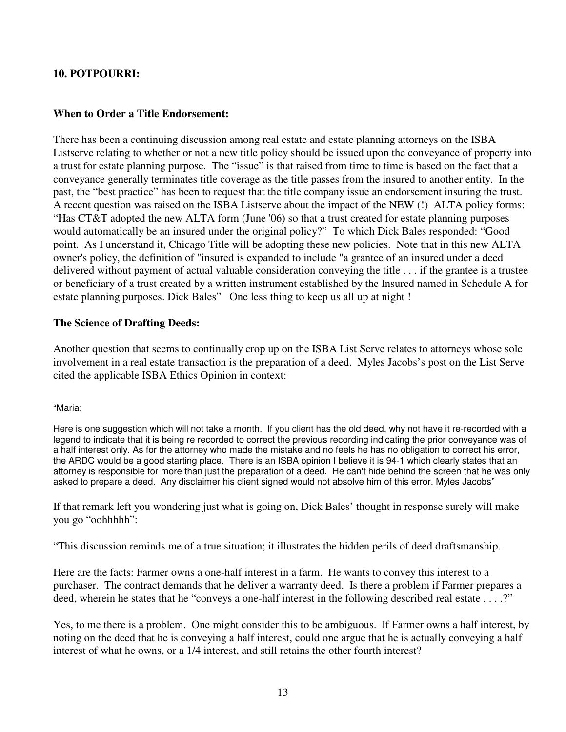#### **10. POTPOURRI:**

#### **When to Order a Title Endorsement:**

There has been a continuing discussion among real estate and estate planning attorneys on the ISBA Listserve relating to whether or not a new title policy should be issued upon the conveyance of property into a trust for estate planning purpose. The "issue" is that raised from time to time is based on the fact that a conveyance generally terminates title coverage as the title passes from the insured to another entity. In the past, the "best practice" has been to request that the title company issue an endorsement insuring the trust. A recent question was raised on the ISBA Listserve about the impact of the NEW (!) ALTA policy forms: "Has CT&T adopted the new ALTA form (June '06) so that a trust created for estate planning purposes would automatically be an insured under the original policy?" To which Dick Bales responded: "Good point. As I understand it, Chicago Title will be adopting these new policies. Note that in this new ALTA owner's policy, the definition of "insured is expanded to include "a grantee of an insured under a deed delivered without payment of actual valuable consideration conveying the title . . . if the grantee is a trustee or beneficiary of a trust created by a written instrument established by the Insured named in Schedule A for estate planning purposes. Dick Bales" One less thing to keep us all up at night !

#### **The Science of Drafting Deeds:**

Another question that seems to continually crop up on the ISBA List Serve relates to attorneys whose sole involvement in a real estate transaction is the preparation of a deed. Myles Jacobs's post on the List Serve cited the applicable ISBA Ethics Opinion in context:

"Maria:

Here is one suggestion which will not take a month. If you client has the old deed, why not have it re-recorded with a legend to indicate that it is being re recorded to correct the previous recording indicating the prior conveyance was of a half interest only. As for the attorney who made the mistake and no feels he has no obligation to correct his error, the ARDC would be a good starting place. There is an ISBA opinion I believe it is 94-1 which clearly states that an attorney is responsible for more than just the preparation of a deed. He can't hide behind the screen that he was only asked to prepare a deed. Any disclaimer his client signed would not absolve him of this error. Myles Jacobs"

If that remark left you wondering just what is going on, Dick Bales' thought in response surely will make you go "oohhhhh":

"This discussion reminds me of a true situation; it illustrates the hidden perils of deed draftsmanship.

Here are the facts: Farmer owns a one-half interest in a farm. He wants to convey this interest to a purchaser. The contract demands that he deliver a warranty deed. Is there a problem if Farmer prepares a deed, wherein he states that he "conveys a one-half interest in the following described real estate . . . .?"

Yes, to me there is a problem. One might consider this to be ambiguous. If Farmer owns a half interest, by noting on the deed that he is conveying a half interest, could one argue that he is actually conveying a half interest of what he owns, or a 1/4 interest, and still retains the other fourth interest?